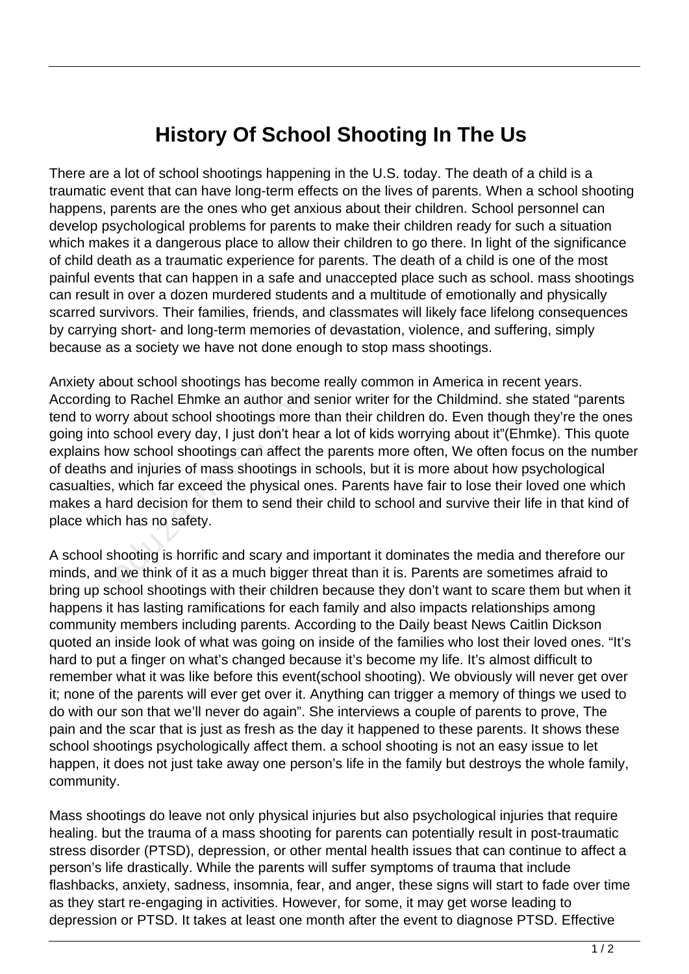## **History Of School Shooting In The Us**

There are a lot of school shootings happening in the U.S. today. The death of a child is a traumatic event that can have long-term effects on the lives of parents. When a school shooting happens, parents are the ones who get anxious about their children. School personnel can develop psychological problems for parents to make their children ready for such a situation which makes it a dangerous place to allow their children to go there. In light of the significance of child death as a traumatic experience for parents. The death of a child is one of the most painful events that can happen in a safe and unaccepted place such as school. mass shootings can result in over a dozen murdered students and a multitude of emotionally and physically scarred survivors. Their families, friends, and classmates will likely face lifelong consequences by carrying short- and long-term memories of devastation, violence, and suffering, simply because as a society we have not done enough to stop mass shootings.

Anxiety about school shootings has become really common in America in recent years. According to Rachel Ehmke an author and senior writer for the Childmind. she stated "parents tend to worry about school shootings more than their children do. Even though they're the ones going into school every day, I just don't hear a lot of kids worrying about it"(Ehmke). This quote explains how school shootings can affect the parents more often, We often focus on the number of deaths and injuries of mass shootings in schools, but it is more about how psychological casualties, which far exceed the physical ones. Parents have fair to lose their loved one which makes a hard decision for them to send their child to school and survive their life in that kind of place which has no safety. to Rachel Ehmke an author and s<br>rry about school shootings more t<br>school every day, I just don't hear<br>ow school shootings can affect the<br>and injuries of mass shootings in s<br>which far exceed the physical on<br>ard decision for

A school shooting is horrific and scary and important it dominates the media and therefore our minds, and we think of it as a much bigger threat than it is. Parents are sometimes afraid to bring up school shootings with their children because they don't want to scare them but when it happens it has lasting ramifications for each family and also impacts relationships among community members including parents. According to the Daily beast News Caitlin Dickson quoted an inside look of what was going on inside of the families who lost their loved ones. "It's hard to put a finger on what's changed because it's become my life. It's almost difficult to remember what it was like before this event(school shooting). We obviously will never get over it; none of the parents will ever get over it. Anything can trigger a memory of things we used to do with our son that we'll never do again". She interviews a couple of parents to prove, The pain and the scar that is just as fresh as the day it happened to these parents. It shows these school shootings psychologically affect them. a school shooting is not an easy issue to let happen, it does not just take away one person's life in the family but destroys the whole family, community.

Mass shootings do leave not only physical injuries but also psychological injuries that require healing. but the trauma of a mass shooting for parents can potentially result in post-traumatic stress disorder (PTSD), depression, or other mental health issues that can continue to affect a person's life drastically. While the parents will suffer symptoms of trauma that include flashbacks, anxiety, sadness, insomnia, fear, and anger, these signs will start to fade over time as they start re-engaging in activities. However, for some, it may get worse leading to depression or PTSD. It takes at least one month after the event to diagnose PTSD. Effective